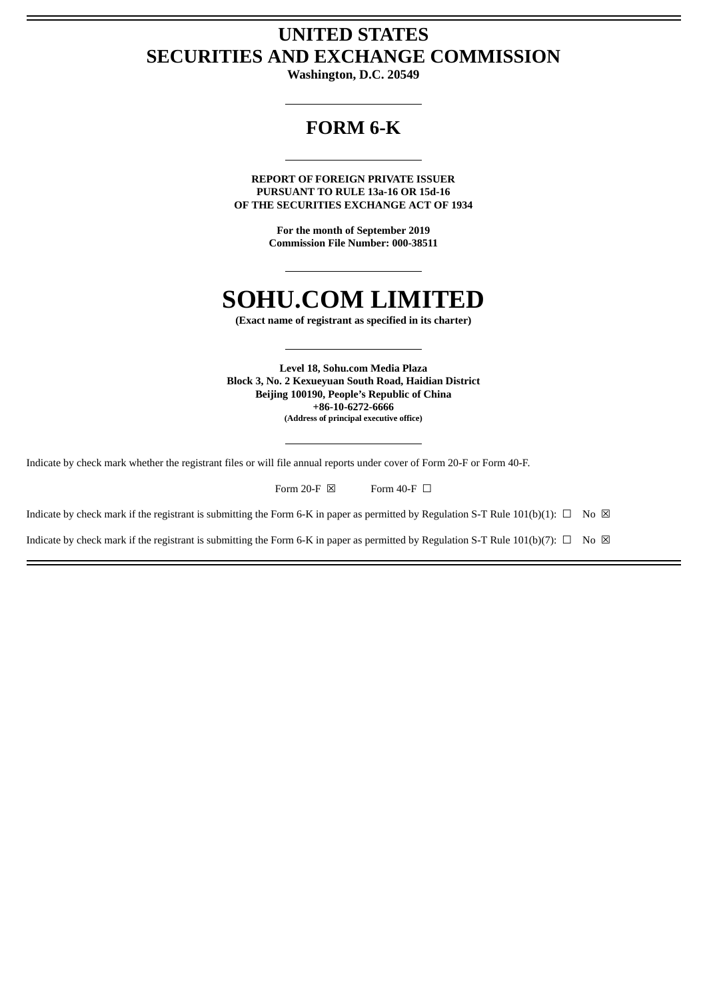## **UNITED STATES SECURITIES AND EXCHANGE COMMISSION**

**Washington, D.C. 20549**

## **FORM 6-K**

**REPORT OF FOREIGN PRIVATE ISSUER PURSUANT TO RULE 13a-16 OR 15d-16 OF THE SECURITIES EXCHANGE ACT OF 1934**

> **For the month of September 2019 Commission File Number: 000-38511**

## **SOHU.COM LIMITED**

**(Exact name of registrant as specified in its charter)**

**Level 18, Sohu.com Media Plaza Block 3, No. 2 Kexueyuan South Road, Haidian District Beijing 100190, People's Republic of China +86-10-6272-6666 (Address of principal executive office)**

Indicate by check mark whether the registrant files or will file annual reports under cover of Form 20-F or Form 40-F.

Form 20-F  $\boxtimes$  Form 40-F  $\Box$ 

Indicate by check mark if the registrant is submitting the Form 6-K in paper as permitted by Regulation S-T Rule 101(b)(1):  $\Box$  No  $\boxtimes$ 

Indicate by check mark if the registrant is submitting the Form 6-K in paper as permitted by Regulation S-T Rule 101(b)(7):  $\Box$  No  $\boxtimes$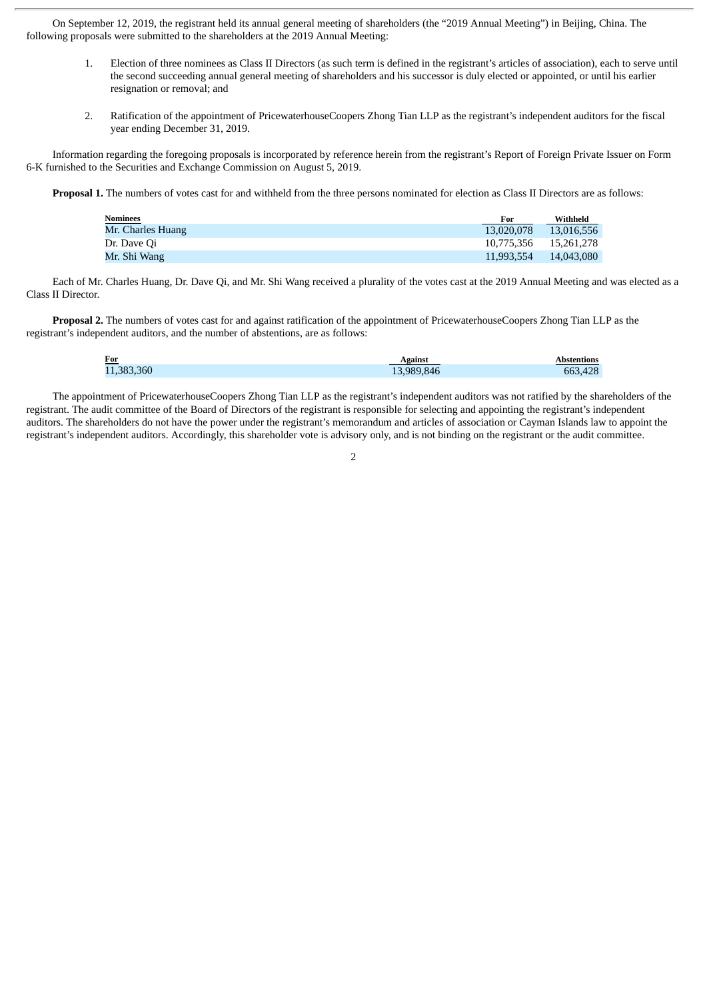On September 12, 2019, the registrant held its annual general meeting of shareholders (the "2019 Annual Meeting") in Beijing, China. The following proposals were submitted to the shareholders at the 2019 Annual Meeting:

- 1. Election of three nominees as Class II Directors (as such term is defined in the registrant's articles of association), each to serve until the second succeeding annual general meeting of shareholders and his successor is duly elected or appointed, or until his earlier resignation or removal; and
- 2. Ratification of the appointment of PricewaterhouseCoopers Zhong Tian LLP as the registrant's independent auditors for the fiscal year ending December 31, 2019.

Information regarding the foregoing proposals is incorporated by reference herein from the registrant's Report of Foreign Private Issuer on Form 6-K furnished to the Securities and Exchange Commission on August 5, 2019.

**Proposal 1.** The numbers of votes cast for and withheld from the three persons nominated for election as Class II Directors are as follows:

| <b>Nominees</b>   | For        | Withheld   |
|-------------------|------------|------------|
| Mr. Charles Huang | 13.020.078 | 13.016.556 |
| Dr. Dave Qi       | 10.775.356 | 15.261.278 |
| Mr. Shi Wang      | 11.993.554 | 14,043,080 |

Each of Mr. Charles Huang, Dr. Dave Qi, and Mr. Shi Wang received a plurality of the votes cast at the 2019 Annual Meeting and was elected as a Class II Director.

**Proposal 2.** The numbers of votes cast for and against ratification of the appointment of PricewaterhouseCoopers Zhong Tian LLP as the registrant's independent auditors, and the number of abstentions, are as follows:

| <b>For</b> |        |
|------------|--------|
| .3hL       | $\sim$ |
| 383        | A      |

The appointment of PricewaterhouseCoopers Zhong Tian LLP as the registrant's independent auditors was not ratified by the shareholders of the registrant. The audit committee of the Board of Directors of the registrant is responsible for selecting and appointing the registrant's independent auditors. The shareholders do not have the power under the registrant's memorandum and articles of association or Cayman Islands law to appoint the registrant's independent auditors. Accordingly, this shareholder vote is advisory only, and is not binding on the registrant or the audit committee.

 $\overline{2}$